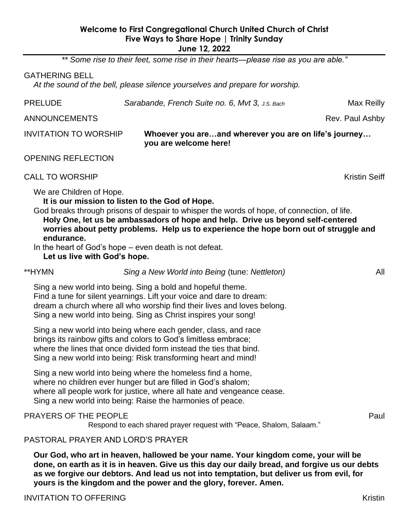## **Welcome to First Congregational Church United Church of Christ Five Ways to Share Hope | Trinity Sunday June 12, 2022**

*\*\* Some rise to their feet, some rise in their hearts—please rise as you are able."*

#### GATHERING BELL

*At the sound of the bell, please silence yourselves and prepare for worship.*

| <b>PRELUDE</b>                         | Sarabande, French Suite no. 6, Mvt 3, J.S. Bach<br>Max Reilly                                                                                                                                                                                                                                                              |                      |  |
|----------------------------------------|----------------------------------------------------------------------------------------------------------------------------------------------------------------------------------------------------------------------------------------------------------------------------------------------------------------------------|----------------------|--|
| <b>ANNOUNCEMENTS</b>                   |                                                                                                                                                                                                                                                                                                                            | Rev. Paul Ashby      |  |
| <b>INVITATION TO WORSHIP</b>           | Whoever you areand wherever you are on life's journey<br>you are welcome here!                                                                                                                                                                                                                                             |                      |  |
| <b>OPENING REFLECTION</b>              |                                                                                                                                                                                                                                                                                                                            |                      |  |
| <b>CALL TO WORSHIP</b>                 |                                                                                                                                                                                                                                                                                                                            | <b>Kristin Seiff</b> |  |
| We are Children of Hope.<br>endurance. | It is our mission to listen to the God of Hope.<br>God breaks through prisons of despair to whisper the words of hope, of connection, of life.<br>Holy One, let us be ambassadors of hope and help. Drive us beyond self-centered<br>worries about petty problems. Help us to experience the hope born out of struggle and |                      |  |
| Let us live with God's hope.           | In the heart of God's hope – even death is not defeat.                                                                                                                                                                                                                                                                     |                      |  |
| **HYMN                                 | Sing a New World into Being (tune: Nettleton)                                                                                                                                                                                                                                                                              | All                  |  |
|                                        | Sing a new world into being. Sing a bold and hopeful theme.<br>Find a tune for silent yearnings. Lift your voice and dare to dream:<br>dream a church where all who worship find their lives and loves belong.<br>Sing a new world into being. Sing as Christ inspires your song!                                          |                      |  |
|                                        | Sing a new world into being where each gender, class, and race<br>brings its rainbow gifts and colors to God's limitless embrace;<br>where the lines that once divided form instead the ties that bind.<br>Sing a new world into being: Risk transforming heart and mind!                                                  |                      |  |
|                                        | Sing a new world into being where the homeless find a home,<br>where no children ever hunger but are filled in God's shalom;<br>where all people work for justice, where all hate and vengeance cease.<br>Sing a new world into being: Raise the harmonies of peace.                                                       |                      |  |
| PRAYERS OF THE PEOPLE                  | Respond to each shared prayer request with "Peace, Shalom, Salaam."                                                                                                                                                                                                                                                        | Paul                 |  |
| PASTORAL PRAYER AND LORD'S PRAYER      |                                                                                                                                                                                                                                                                                                                            |                      |  |
|                                        | Our God, who art in heaven, hallowed be your name. Your kingdom come, your will be                                                                                                                                                                                                                                         |                      |  |

**God, who art in heaven, hallowed be your name. Your kingdom come, your will be done, on earth as it is in heaven. Give us this day our daily bread, and forgive us our debts as we forgive our debtors. And lead us not into temptation, but deliver us from evil, for yours is the kingdom and the power and the glory, forever. Amen.**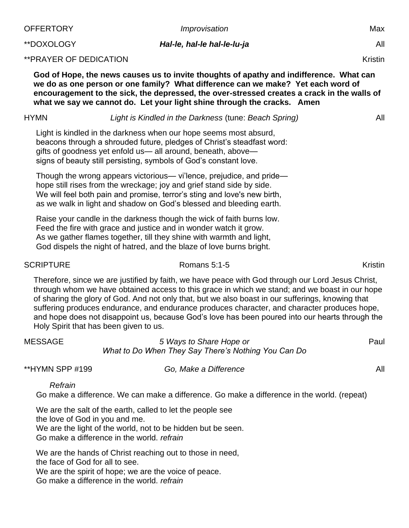| OFFERTORY                      | Improvisation                                                                                                                                                                                                                                                                                                                                                                                                                                                                                                                                         |                |  |
|--------------------------------|-------------------------------------------------------------------------------------------------------------------------------------------------------------------------------------------------------------------------------------------------------------------------------------------------------------------------------------------------------------------------------------------------------------------------------------------------------------------------------------------------------------------------------------------------------|----------------|--|
| **DOXOLOGY                     | All                                                                                                                                                                                                                                                                                                                                                                                                                                                                                                                                                   |                |  |
| ** PRAYER OF DEDICATION        |                                                                                                                                                                                                                                                                                                                                                                                                                                                                                                                                                       | Kristin        |  |
|                                | God of Hope, the news causes us to invite thoughts of apathy and indifference. What can<br>we do as one person or one family? What difference can we make? Yet each word of<br>encouragement to the sick, the depressed, the over-stressed creates a crack in the walls of<br>what we say we cannot do. Let your light shine through the cracks. Amen                                                                                                                                                                                                 |                |  |
| HYMN                           | Light is Kindled in the Darkness (tune: Beach Spring)                                                                                                                                                                                                                                                                                                                                                                                                                                                                                                 | All            |  |
|                                | Light is kindled in the darkness when our hope seems most absurd,<br>beacons through a shrouded future, pledges of Christ's steadfast word:<br>gifts of goodness yet enfold us— all around, beneath, above—<br>signs of beauty still persisting, symbols of God's constant love.                                                                                                                                                                                                                                                                      |                |  |
|                                | Though the wrong appears victorious— vi'lence, prejudice, and pride—<br>hope still rises from the wreckage; joy and grief stand side by side.<br>We will feel both pain and promise, terror's sting and love's new birth,<br>as we walk in light and shadow on God's blessed and bleeding earth.                                                                                                                                                                                                                                                      |                |  |
|                                | Raise your candle in the darkness though the wick of faith burns low.<br>Feed the fire with grace and justice and in wonder watch it grow.<br>As we gather flames together, till they shine with warmth and light,<br>God dispels the night of hatred, and the blaze of love burns bright.                                                                                                                                                                                                                                                            |                |  |
| <b>SCRIPTURE</b>               | Romans 5:1-5                                                                                                                                                                                                                                                                                                                                                                                                                                                                                                                                          | <b>Kristin</b> |  |
|                                | Therefore, since we are justified by faith, we have peace with God through our Lord Jesus Christ,<br>through whom we have obtained access to this grace in which we stand; and we boast in our hope<br>of sharing the glory of God. And not only that, but we also boast in our sufferings, knowing that<br>suffering produces endurance, and endurance produces character, and character produces hope,<br>and hope does not disappoint us, because God's love has been poured into our hearts through the<br>Holy Spirit that has been given to us. |                |  |
| MESSAGE                        | 5 Ways to Share Hope or<br>What to Do When They Say There's Nothing You Can Do                                                                                                                                                                                                                                                                                                                                                                                                                                                                        | Paul           |  |
| **HYMN SPP #199                | Go, Make a Difference                                                                                                                                                                                                                                                                                                                                                                                                                                                                                                                                 | All            |  |
| Refrain                        | Go make a difference. We can make a difference. Go make a difference in the world. (repeat)                                                                                                                                                                                                                                                                                                                                                                                                                                                           |                |  |
| the love of God in you and me. | We are the salt of the earth, called to let the people see<br>We are the light of the world, not to be hidden but be seen.<br>Go make a difference in the world. refrain                                                                                                                                                                                                                                                                                                                                                                              |                |  |
|                                | We are the hands of Christ reaching out to those in need,                                                                                                                                                                                                                                                                                                                                                                                                                                                                                             |                |  |

the face of God for all to see.

We are the spirit of hope; we are the voice of peace.

Go make a difference in the world. *refrain*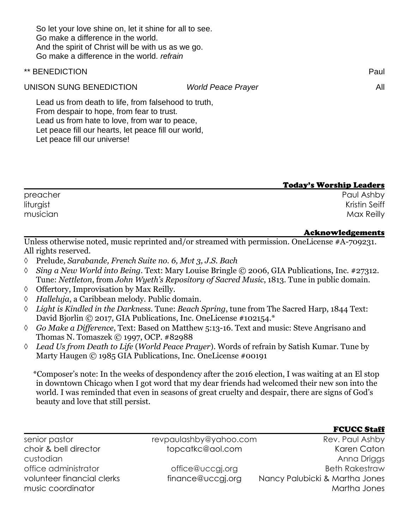So let your love shine on, let it shine for all to see. Go make a difference in the world. And the spirit of Christ will be with us as we go. Go make a difference in the world. *refrain*

## \*\* BENEDICTION Paul

UNISON SUNG BENEDICTION *World Peace Prayer* All

Lead us from death to life, from falsehood to truth, From despair to hope, from fear to trust. Lead us from hate to love, from war to peace, Let peace fill our hearts, let peace fill our world, Let peace fill our universe!

## Today's Worship Leaders

| preacher  | Paul Ashby           |
|-----------|----------------------|
| liturgist | <b>Kristin Seiff</b> |
| musician  | Max Reilly           |

## Acknowledgements

**FOUGO S4-SS** 

Unless otherwise noted, music reprinted and/or streamed with permission. OneLicense #A-709231. All rights reserved.

- Prelude*, Sarabande, French Suite no. 6, Mvt 3, J.S. Bach*
- *Sing a New World into Being*. Text: Mary Louise Bringle © 2006, GIA Publications, Inc. #27312. Tune: *Nettleton*, from *John Wyeth's Repository of Sacred Music*, 1813. Tune in public domain.
- $\Diamond$  Offertory, Improvisation by Max Reilly.
- *Halleluja*, a Caribbean melody. Public domain.
- *Light is Kindled in the Darkness.* Tune: *Beach Spring*, tune from The Sacred Harp, 1844 Text: David Bjorlin © 2017, GIA Publications, Inc. OneLicense #102154.\*
- *Go Make a Difference*, Text: Based on Matthew 5:13-16. Text and music: Steve Angrisano and Thomas N. Tomaszek © 1997, OCP. #82988
- *Lead Us from Death to Life* (*World Peace Prayer*). Words of refrain by Satish Kumar. Tune by Marty Haugen © 1985 GIA Publications, Inc. OneLicense #00191

\*Composer's note: In the weeks of despondency after the 2016 election, I was waiting at an El stop in downtown Chicago when I got word that my dear friends had welcomed their new son into the world. I was reminded that even in seasons of great cruelty and despair, there are signs of God's beauty and love that still persist.

|                            |                        | TUULL SLAII                    |
|----------------------------|------------------------|--------------------------------|
| senior pastor              | revpaulashby@yahoo.com | Rev. Paul Ashby                |
| choir & bell director      | topcatkc@aol.com       | Karen Caton                    |
| custodian                  |                        | Anna Driggs                    |
| office administrator       | office@uccgi.org       | <b>Beth Rakestraw</b>          |
| volunteer financial clerks | finance@uccgj.org      | Nancy Palubicki & Martha Jones |
| music coordinator          |                        | Martha Jones                   |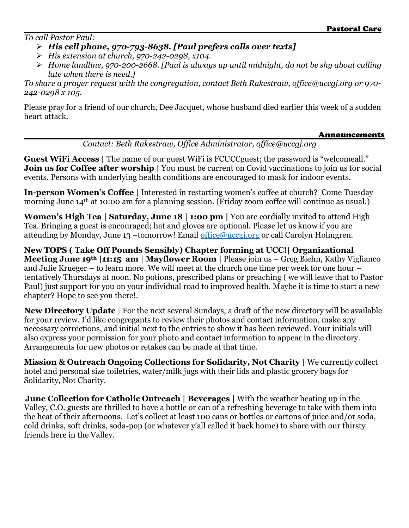*To call Pastor Paul:*

- ➢ *His cell phone, 970-793-8638. [Paul prefers calls over texts]*
- ➢ *His extension at church, 970-242-0298, x104.*
- ➢ *Home landline, 970-200-2668. [Paul is always up until midnight, do not be shy about calling late when there is need.]*

*To share a prayer request with the congregation, contact Beth Rakestraw, office@uccgj.org or 970- 242-0298 x 105.*

Please pray for a friend of our church, Dee Jacquet, whose husband died earlier this week of a sudden heart attack.

## **Announcements**

*Contact: Beth Rakestraw, Office Administrator, office@uccgj.org*

**Guest WiFi Access** | The name of our guest WiFi is FCUCC guest; the password is "welcomeall." **Join us for Coffee after worship |** You must be current on Covid vaccinations to join us for social events. Persons with underlying health conditions are encouraged to mask for indoor events.

**In-person Women's Coffee** | Interested in restarting women's coffee at church? Come Tuesday morning June 14<sup>th</sup> at 10:00 am for a planning session. (Friday zoom coffee will continue as usual.)

**Women's High Tea | Saturday, June 18 | 1:00 pm | You are cordially invited to attend High** Tea. Bringing a guest is encouraged; hat and gloves are optional. Please let us know if you are attending by Monday, June 13 –tomorrow! Email office@uccgi.org or call Carolyn Holmgren.

**New TOPS ( Take Off Pounds Sensibly) Chapter forming at UCC!| Organizational Meeting June 19th |11:15 am | Mayflower Room |** Please join us – Greg Biehn, Kathy Viglianco and Julie Krueger – to learn more. We will meet at the church one time per week for one hour – tentatively Thursdays at noon. No potions, prescribed plans or preaching ( we will leave that to Pastor Paul) just support for you on your individual road to improved health. Maybe it is time to start a new chapter? Hope to see you there!.

**New Directory Update** | For the next several Sundays, a draft of the new directory will be available for your review. I'd like congregants to review their photos and contact information, make any necessary corrections, and initial next to the entries to show it has been reviewed. Your initials will also express your permission for your photo and contact information to appear in the directory. Arrangements for new photos or retakes can be made at that time.

**Mission & Outreach Ongoing Collections for Solidarity, Not Charity | We currently collect** hotel and personal size toiletries, water/milk jugs with their lids and plastic grocery bags for Solidarity, Not Charity.

**June Collection for Catholic Outreach | Beverages |** With the weather heating up in the Valley, C.O. guests are thrilled to have a bottle or can of a refreshing beverage to take with them into the heat of their afternoons. Let's collect at least 100 cans or bottles or cartons of juice and/or soda, cold drinks, soft drinks, soda-pop (or whatever y'all called it back home) to share with our thirsty friends here in the Valley.